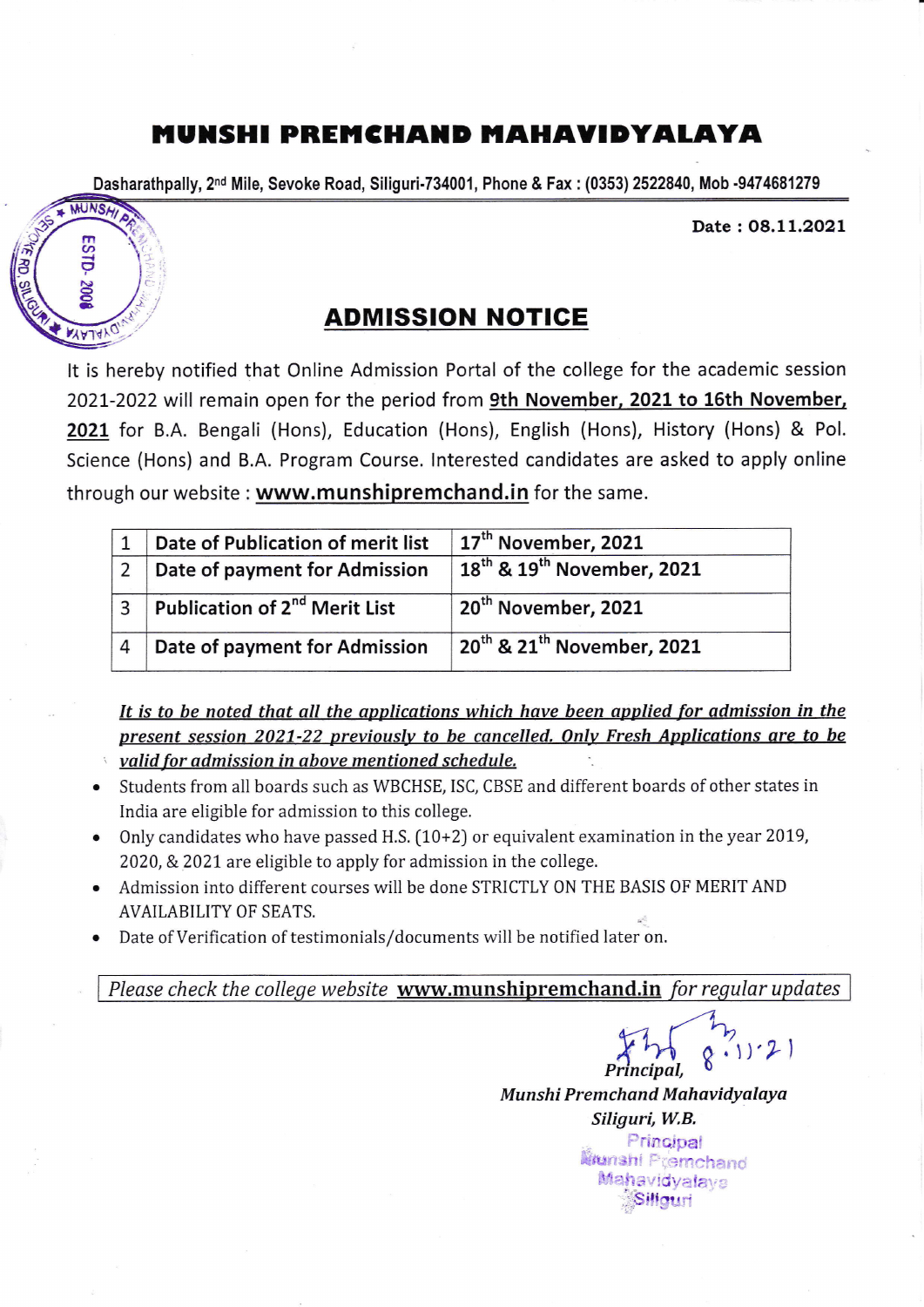## MUNSHI PREMCHAND MAHAVIDYALAYA

Dasharathpally, 2<sup>nd</sup> Mile, Sevoke Road, Siliguri-734001, Phone & Fax : (0353) 2522840, Mob -9474681279



Date: 08.11.2021

## ADMISSION NOTIGE

It is hereby notified that Online Admission Portal of the college for the academic session 2021-2022 will remain open for the period from 9th November, 2021 to 16th November, 202L for B.A. Bengali (Hons), Education (Hons), English (Hons), History (Hons) & Pol. Science (Hons) and B.A. Program Course. Interested candidates are asked to apply online through our website : www.munshipremchand.in for the same.

|   | Date of Publication of merit list         | 17 <sup>th</sup> November, 2021                    |
|---|-------------------------------------------|----------------------------------------------------|
|   | Date of payment for Admission             | 18 <sup>th</sup> & 19 <sup>th</sup> November, 2021 |
|   | Publication of 2 <sup>nd</sup> Merit List | 20 <sup>th</sup> November, 2021                    |
| 4 | Date of payment for Admission             | 20 <sup>th</sup> & 21 <sup>th</sup> November, 2021 |

It is to be noted that all the applications which have been applied for admission in the present session 2021-22 previously to be cancelled. Only Fresh Applications are to be valid for admission in above mentioned schedule.

- a Students from all boards such as WBCHSE, ISC, CBSE and different boards of other states in India are eligible for admission to this college.
- a Only candidates who have passed H.S.  $(10+2)$  or equivalent examination in the year 2019, 2020, & 2021 are eligible to apply for admission in the college.
- Admission into different courses will be done STRICTLY 0N THE BASIS 0F MERIT AND a AVAILABILITY OF SEATS.
- Date of Verification of testimonials/documents will be notified later on. a

Please check the college website www.munshipremchand.in for regular updates

 $4.4$ Principal, Munshi Premchand Mahavidyalaya Siliguri, W.B. Principal

**Iifunshi Fremchand** Mahavidyalaya Sillauri

 $1)$   $2)$